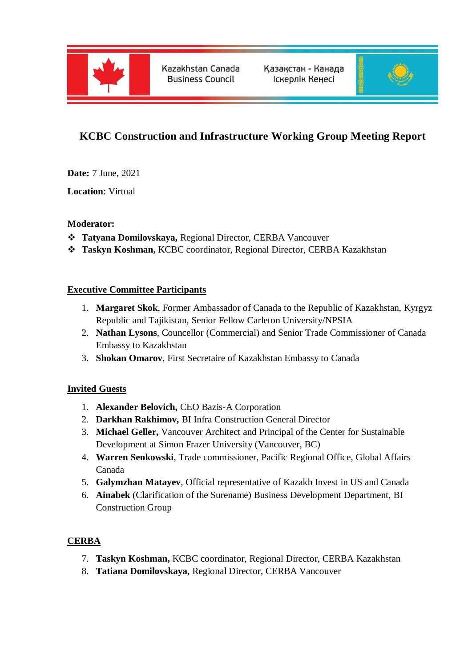

Kazakhstan Canada **Business Council** 

Қазақстан - Канада Іскерлік Кеңесі



# **KCBC Construction and Infrastructure Working Group Meeting Report**

**Date:** 7 June, 2021

**Location**: Virtual

### **Moderator:**

- **Tatyana Domilovskaya,** Regional Director, CERBA Vancouver
- **Taskyn Koshman,** KCBC coordinator, Regional Director, CERBA Kazakhstan

### **Executive Committee Participants**

- 1. **Margaret Skok**, Former Ambassador of Canada to the Republic of Kazakhstan, Kyrgyz Republic and Tajikistan, Senior Fellow Carleton University/NPSIA
- 2. **Nathan Lysons**, Councellor (Commercial) and Senior Trade Commissioner of Canada Embassy to Kazakhstan
- 3. **Shokan Omarov**, First Secretaire of Kazakhstan Embassy to Canada

## **Invited Guests**

- 1. **Alexander Belovich,** CEO Bazis-A Corporation
- 2. **Darkhan Rakhimov,** BI Infra Construction General Director
- 3. **Michael Geller,** Vancouver Architect and Principal of the Center for Sustainable Development at Simon Frazer University (Vancouver, BC)
- 4. **Warren Senkowski**, Trade commissioner, Pacific Regional Office, Global Affairs Canada
- 5. **Galymzhan Matayev**, Official representative of Kazakh Invest in US and Canada
- 6. **Ainabek** (Clarification of the Surename) Business Development Department, BI Construction Group

## **CERBA**

- 7. **Taskyn Koshman,** KCBC coordinator, Regional Director, CERBA Kazakhstan
- 8. **Tatiana Domilovskaya,** Regional Director, CERBA Vancouver